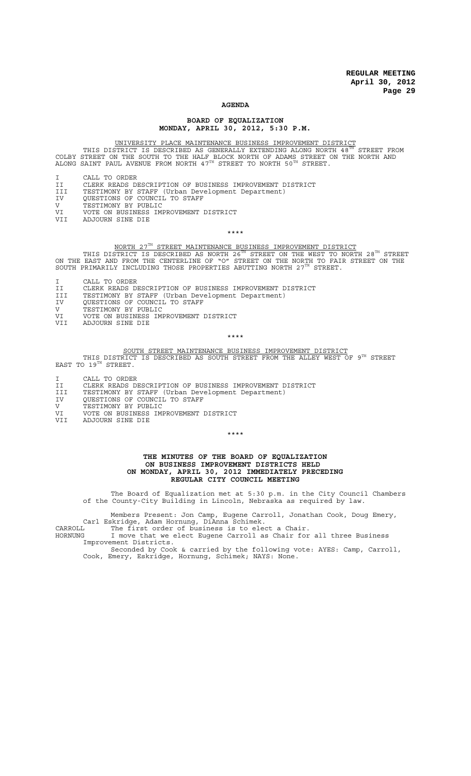#### **AGENDA**

#### **BOARD OF EQUALIZATION MONDAY, APRIL 30, 2012, 5:30 P.M.**

UNIVERSITY PLACE MAINTENANCE BUSINESS IMPROVEMENT DISTRICT<br>THIS DISTRICT IS DESCRIBED AS GENERALLY EXTENDING ALONG NORTH 48<sup>TH</sup> STREET FROM COLBY STREET ON THE SOUTH TO THE HALF BLOCK NORTH OF ADAMS STREET ON THE NORTH AND<br>ALONG SAINT PAUL AVENUE FROM NORTH 47<sup>TH</sup> STREET TO NORTH 50<sup>TH</sup> STREET.

- CALL TO ORDER
- II CLERK READS DESCRIPTION OF BUSINESS IMPROVEMENT DISTRICT<br>III TESTIMONY BY STAFF (Urban Development Department)
- III TESTIMONY BY STAFF (Urban Development Department)
- IV QUESTIONS OF COUNCIL TO STAFF
- V TESTIMONY BY PUBLIC
- VI VOTE ON BUSINESS IMPROVEMENT DISTRICT<br>VII ADJOURN SINE DIE ADJOURN SINE DIE

\*\*\*\*

### NORTH 27TH STREET MAINTENANCE BUSINESS IMPROVEMENT DISTRICT

THIS DISTRICT IS DESCRIBED AS NORTH 26 $^{\tt TH}$  STREET ON THE WEST TO NORTH 28 $^{\tt TH}$  STREET ON THE EAST AND FROM THE CENTERLINE OF "O" STREET ON THE NORTH TO FAIR STREET ON THE<br>SOUTH PRIMARILY INCLUDING THOSE PROPERTIES ABUTTING NORTH 27TH STREET.

- I CALL TO ORDER
- II CLERK READS DESCRIPTION OF BUSINESS IMPROVEMENT DISTRICT
- III TESTIMONY BY STAFF (Urban Development Department)
- IV QUESTIONS OF COUNCIL TO STAFF
- IV QUESTIONS OF COUNCII<br>V TESTIMONY BY PUBLIC<br>VI VOTE ON BUSINESS IM
- VI VOTE ON BUSINESS IMPROVEMENT DISTRICT
- VII ADJOURN SINE DIE

\*\*\*\*

# SOUTH STREET MAINTENANCE BUSINESS IMPROVEMENT DISTRICT<br>THIS DISTRICT IS DESCRIBED AS SOUTH STREET FROM THE ALLEY WEST OF 9TH STREET

EAST TO  $19^{TH}$  STREET.

- I CALL TO ORDER
- II CLERK READS DESCRIPTION OF BUSINESS IMPROVEMENT DISTRICT
- III TESTIMONY BY STAFF (Urban Development Department)
- IV QUESTIONS OF COUNCIL TO STAFF
- V TESTIMONY BY PUBLIC
- VI VOTE ON BUSINESS IMPROVEMENT DISTRICT
- VII ADJOURN SINE DIE

\*\*\*\*

#### **THE MINUTES OF THE BOARD OF EQUALIZATION ON BUSINESS IMPROVEMENT DISTRICTS HELD ON MONDAY, APRIL 30, 2012 IMMEDIATELY PRECEDING REGULAR CITY COUNCIL MEETING**

The Board of Equalization met at 5:30 p.m. in the City Council Chambers of the County-City Building in Lincoln, Nebraska as required by law.

Members Present: Jon Camp, Eugene Carroll, Jonathan Cook, Doug Emery, Carl Eskridge, Adam Hornung, DiAnna Schimek.

CARROLL The first order of business is to elect a Chair.

HORNUNG I move that we elect Eugene Carroll as Chair for all three Business Improvement Districts.

Seconded by Cook & carried by the following vote: AYES: Camp, Carroll, Cook, Emery, Eskridge, Hornung, Schimek; NAYS: None.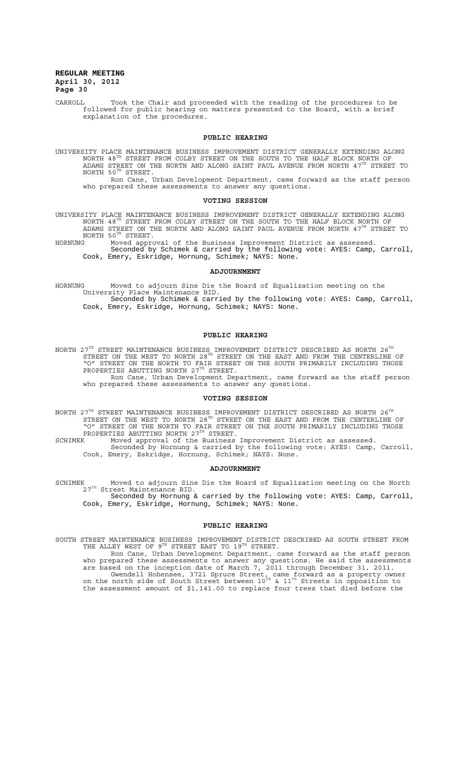CARROLL Took the Chair and proceeded with the reading of the procedures to be followed for public hearing on matters presented to the Board, with a brief explanation of the procedures.

#### **PUBLIC HEARING**

UNIVERSITY PLACE MAINTENANCE BUSINESS IMPROVEMENT DISTRICT GENERALLY EXTENDING ALONG<br>NORTH 48<sup>TH</sup> STREET FROM COLBY STREET ON THE SOUTH TO THE HALF BLOCK NORTH OF ADAMS STREET ON THE NORTH AND ALONG SAINT PAUL AVENUE FROM NORTH  $4\,7^{\text{\tiny{TH}}}$  STREET TO NORTH  $50^{TH}$  STREET.

Ron Cane, Urban Development Department, came forward as the staff person who prepared these assessments to answer any questions.

#### **VOTING SESSION**

UNIVERSITY PLACE MAINTENANCE BUSINESS IMPROVEMENT DISTRICT GENERALLY EXTENDING ALONG<br>NORTH 48<sup>TH</sup> STREET FROM COLBY STREET ON THE SOUTH TO THE HALF BLOCK NORTH OF ADAMS STREET ON THE NORTH AND ALONG SAINT PAUL AVENUE FROM NORTH  $4\,7^{\text{\tiny{TH}}}$  STREET TO NORTH 50TH STREET.<br>HORNUNG Moved appro

HORNUNG Moved approval of the Business Improvement District as assessed. Seconded by Schimek & carried by the following vote: AYES: Camp, Carroll, Cook, Emery, Eskridge, Hornung, Schimek; NAYS: None.

#### **ADJOURNMENT**

HORNUNG Moved to adjourn Sine Die the Board of Equalization meeting on the University Place Maintenance BID. Seconded by Schimek & carried by the following vote: AYES: Camp, Carroll, Cook, Emery, Eskridge, Hornung, Schimek; NAYS: None.

#### **PUBLIC HEARING**

NORTH 27 $^{\text{\tiny{\text{TH}}}}$  STREET MAINTENANCE BUSINESS IMPROVEMENT DISTRICT DESCRIBED AS NORTH 26 $^{\text{\tiny{\text{TH}}}}$ STREET ON THE WEST TO NORTH 28 $^{TH}$  STREET ON THE EAST AND FROM THE CENTERLINE OF "O" STREET ON THE NORTH TO FAIR STREET ON THE SOUTH PRIMARILY INCLUDING THOSE PROPERTIES ABUTTING NORTH  $27^{\text{th}}$  STREET. Ron Cane, Urban Development Department, came forward as the staff person

who prepared these assessments to answer any questions.

#### **VOTING SESSION**

NORTH 27 $^{\text{\tiny{\text{TH}}}}$  STREET MAINTENANCE BUSINESS IMPROVEMENT DISTRICT DESCRIBED AS NORTH 26 $^{\text{\tiny{\text{TH}}}}$ STREET ON THE WEST TO NORTH 28 $^{TH}$  STREET ON THE EAST AND FROM THE CENTERLINE OF "O" STREET ON THE NORTH TO FAIR STREET ON THE SOUTH PRIMARILY INCLUDING THOSE PROPERTIES ABUTTING NORTH  $27^{\text{TH}}$  STREET.

SCHIMEK Moved approval of the Business Improvement District as assessed. Seconded by Hornung & carried by the following vote: AYES: Camp, Carroll, Cook, Emery, Eskridge, Hornung, Schimek; NAYS: None.

#### **ADJOURNMENT**

SCHIMEK Moved to adjourn Sine Die the Board of Equalization meeting on the North<br>27<sup>th</sup> Street Maintenance BID.

Seconded by Hornung & carried by the following vote: AYES: Camp, Carroll, Cook, Emery, Eskridge, Hornung, Schimek; NAYS: None.

#### **PUBLIC HEARING**

SOUTH STREET MAINTENANCE BUSINESS IMPROVEMENT DISTRICT DESCRIBED AS SOUTH STREET FROM<br>THE ALLEY WEST OF 9TH STREET EAST TO 19TH STREET.

Ron Cane, Urban Development Department, came forward as the staff person who prepared these assessments to answer any questions. He said the assessments are based on the inception date of March 7, 2011 through December 31, 2011. Gwendell Hohensee, 3721 Spruce Street, came forward as a property owner<br>on the north side of South Street between 10<sup>th</sup> & 11<sup>th</sup> Streets in opposition to the assessment amount of \$1,141.00 to replace four trees that died before the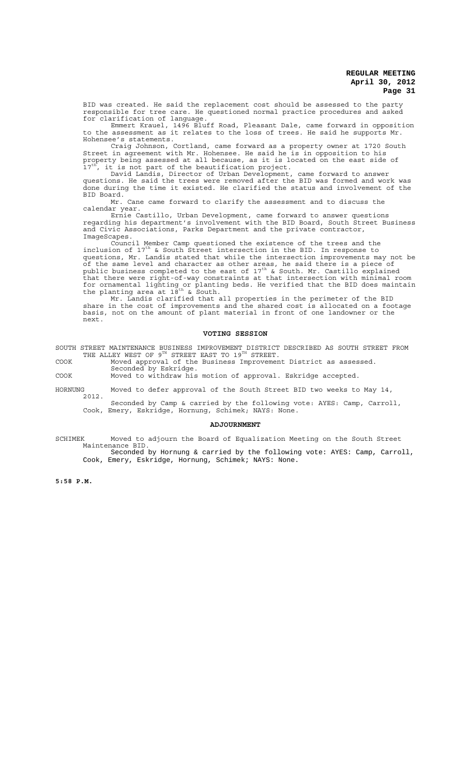BID was created. He said the replacement cost should be assessed to the party responsible for tree care. He questioned normal practice procedures and asked for clarification of language.

Emmert Krauel, 1496 Bluff Road, Pleasant Dale, came forward in opposition to the assessment as it relates to the loss of trees. He said he supports Mr. Hohensee's statements.

Craig Johnson, Cortland, came forward as a property owner at 1720 South Street in agreement with Mr. Hohensee. He said he is in opposition to his property being assessed at all because, as it is located on the east side of<br>17<sup>th</sup>, it is not part of the beautification project.

David Landis, Director of Urban Development, came forward to answer questions. He said the trees were removed after the BID was formed and work was done during the time it existed. He clarified the status and involvement of the BID Board.

Mr. Cane came forward to clarify the assessment and to discuss the calendar year.

Ernie Castillo, Urban Development, came forward to answer questions regarding his department's involvement with the BID Board, South Street Business and Civic Associations, Parks Department and the private contractor,

ImageScapes.<br>Council Member Camp questioned the existence of the trees and the Council Member Camp questioned the existence of the trees and the<br>inclusion of 17<sup>th</sup> & South Street intersection in the BID. In response to questions, Mr. Landis stated that while the intersection improvements may not be of the same level and character as other areas, he said there is a piece of<br>public business completed to the east of 17<sup>th</sup> & South. Mr. Castillo explained that there were right-of-way constraints at that intersection with minimal room for ornamental lighting or planting beds. He verified that the BID does maintain<br>the planting area at 18<sup>th</sup> & South.

Mr. Landis clarified that all properties in the perimeter of the BID share in the cost of improvements and the shared cost is allocated on a footage basis, not on the amount of plant material in front of one landowner or the next.

#### **VOTING SESSION**

SOUTH STREET MAINTENANCE BUSINESS IMPROVEMENT DISTRICT DESCRIBED AS SOUTH STREET FROM<br>THE ALLEY WEST OF 9TH STREET EAST TO 19TH STREET.

COOK Moved approval of the Business Improvement District as assessed. Seconded by Eskridge. COOK Moved to withdraw his motion of approval. Eskridge accepted.

HORNUNG Moved to defer approval of the South Street BID two weeks to May 14,

2012. Seconded by Camp & carried by the following vote: AYES: Camp, Carroll, Cook, Emery, Eskridge, Hornung, Schimek; NAYS: None.

#### **ADJOURNMENT**

SCHIMEK Moved to adjourn the Board of Equalization Meeting on the South Street Maintenance BID. Seconded by Hornung & carried by the following vote: AYES: Camp, Carroll,

Cook, Emery, Eskridge, Hornung, Schimek; NAYS: None.

**5:58 P.M.**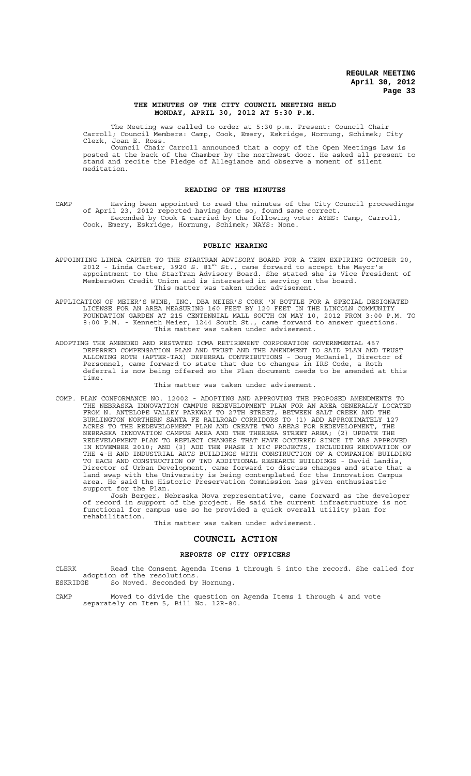#### **THE MINUTES OF THE CITY COUNCIL MEETING HELD MONDAY, APRIL 30, 2012 AT 5:30 P.M.**

The Meeting was called to order at 5:30 p.m. Present: Council Chair Carroll; Council Members: Camp, Cook, Emery, Eskridge, Hornung, Schimek; City Clerk, Joan E. Ross.

Council Chair Carroll announced that a copy of the Open Meetings Law is posted at the back of the Chamber by the northwest door. He asked all present to stand and recite the Pledge of Allegiance and observe a moment of silent meditation.

#### **READING OF THE MINUTES**

CAMP Having been appointed to read the minutes of the City Council proceedings of April 23, 2012 reported having done so, found same correct. Seconded by Cook & carried by the following vote: AYES: Camp, Carroll, Cook, Emery, Eskridge, Hornung, Schimek; NAYS: None.

#### **PUBLIC HEARING**

APPOINTING LINDA CARTER TO THE STARTRAN ADVISORY BOARD FOR A TERM EXPIRING OCTOBER 20,<br>2012 - Linda Carter, 3920 S. 81<sup>st</sup> St., came forward to accept the Mayor's appointment to the StarTran Advisory Board. She stated she is Vice President of MembersOwn Credit Union and is interested in serving on the board. This matter was taken under advisement.

APPLICATION OF MEIER'S WINE, INC. DBA MEIER'S CORK 'N BOTTLE FOR A SPECIAL DESIGNATED LICENSE FOR AN AREA MEASURING 160 FEET BY 120 FEET IN THE LINCOLN COMMUNITY FOUNDATION GARDEN AT 215 CENTENNIAL MALL SOUTH ON MAY 10, 2012 FROM 3:00 P.M. TO 8:00 P.M. - Kenneth Meier, 1244 South St., came forward to answer questions. This matter was taken under advisement.

ADOPTING THE AMENDED AND RESTATED ICMA RETIREMENT CORPORATION GOVERNMENTAL 457 DEFERRED COMPENSATION PLAN AND TRUST AND THE AMENDMENT TO SAID PLAN AND TRUST ALLOWING ROTH (AFTER-TAX) DEFERRAL CONTRIBUTIONS - Doug McDaniel, Director of Personnel, came forward to state that due to changes in IRS Code, a Roth deferral is now being offered so the Plan document needs to be amended at this time.

#### This matter was taken under advisement.

COMP. PLAN CONFORMANCE NO. 12002 - ADOPTING AND APPROVING THE PROPOSED AMENDMENTS TO THE NEBRASKA INNOVATION CAMPUS REDEVELOPMENT PLAN FOR AN AREA GENERALLY LOCATED FROM N. ANTELOPE VALLEY PARKWAY TO 27TH STREET, BETWEEN SALT CREEK AND THE BURLINGTON NORTHERN SANTA FE RAILROAD CORRIDORS TO (1) ADD APPROXIMATELY 127 ACRES TO THE REDEVELOPMENT PLAN AND CREATE TWO AREAS FOR REDEVELOPMENT, THE NEBRASKA INNOVATION CAMPUS AREA AND THE THERESA STREET AREA; (2) UPDATE THE REDEVELOPMENT PLAN TO REFLECT CHANGES THAT HAVE OCCURRED SINCE IT WAS APPROVED IN NOVEMBER 2010; AND (3) ADD THE PHASE I NIC PROJECTS, INCLUDING RENOVATION OF THE 4-H AND INDUSTRIAL ARTS BUILDINGS WITH CONSTRUCTION OF A COMPANION BUILDING TO EACH AND CONSTRUCTION OF TWO ADDITIONAL RESEARCH BUILDINGS - David Landis, Director of Urban Development, came forward to discuss changes and state that a land swap with the University is being contemplated for the Innovation Campus area. He said the Historic Preservation Commission has given enthusiastic support for the Plan.

Josh Berger, Nebraska Nova representative, came forward as the developer of record in support of the project. He said the current infrastructure is not functional for campus use so he provided a quick overall utility plan for rehabilitation.

This matter was taken under advisement.

#### **COUNCIL ACTION**

#### **REPORTS OF CITY OFFICERS**

CLERK Read the Consent Agenda Items 1 through 5 into the record. She called for adoption of the resolutions.<br>ESKRIDGE So Moved. Seconded by So Moved. Seconded by Hornung.

CAMP Moved to divide the question on Agenda Items 1 through 4 and vote separately on Item 5, Bill No. 12R-80.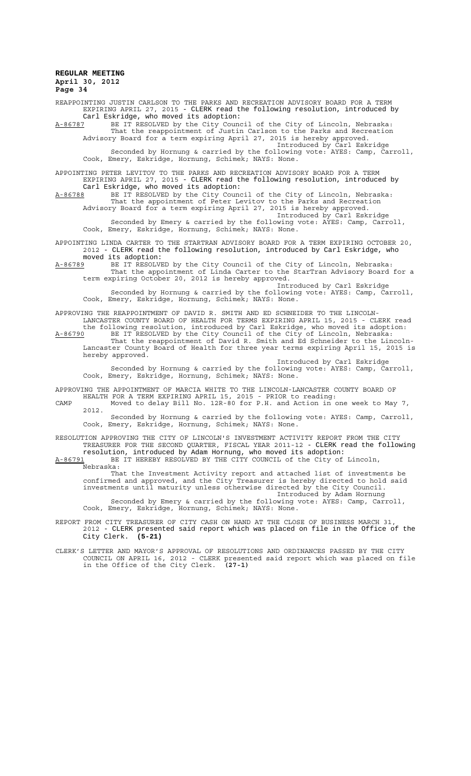REAPPOINTING JUSTIN CARLSON TO THE PARKS AND RECREATION ADVISORY BOARD FOR A TERM EXPIRING APRIL 27, 2015 - CLERK read the following resolution, introduced by Carl Eskridge, who moved its adoption:

A-86787 BE IT RESOLVED by the City Council of the City of Lincoln, Nebraska: That the reappointment of Justin Carlson to the Parks and Recreation Advisory Board for a term expiring April 27, 2015 is hereby approved.

Introduced by Carl Eskridge Seconded by Hornung & carried by the following vote: AYES: Camp, Carroll, Cook, Emery, Eskridge, Hornung, Schimek; NAYS: None.

APPOINTING PETER LEVITOV TO THE PARKS AND RECREATION ADVISORY BOARD FOR A TERM EXPIRING APRIL 27, 2015 - CLERK read the following resolution, introduced by Carl Eskridge, who moved its adoption:

A-86788 BE IT RESOLVED by the City Council of the City of Lincoln, Nebraska: That the appointment of Peter Levitov to the Parks and Recreation Advisory Board for a term expiring April 27, 2015 is hereby approved.

Introduced by Carl Eskridge Seconded by Emery & carried by the following vote: AYES: Camp, Carroll, Cook, Emery, Eskridge, Hornung, Schimek; NAYS: None.

APPOINTING LINDA CARTER TO THE STARTRAN ADVISORY BOARD FOR A TERM EXPIRING OCTOBER 20, 2012 - CLERK read the following resolution, introduced by Carl Eskridge, who moved its adoption:

A-86789 BE IT RESOLVED by the City Council of the City of Lincoln, Nebraska: That the appointment of Linda Carter to the StarTran Advisory Board for a term expiring October 20, 2012 is hereby approved.

Introduced by Carl Eskridge Seconded by Hornung & carried by the following vote: AYES: Camp, Carroll, Cook, Emery, Eskridge, Hornung, Schimek; NAYS: None.

APPROVING THE REAPPOINTMENT OF DAVID R. SMITH AND ED SCHNEIDER TO THE LINCOLN-LANCASTER COUNTY BOARD OF HEALTH FOR TERMS EXPIRING APRIL 15, 2015 - CLERK read the following resolution, introduced by Carl Eskridge, who moved its adoption:

A-86790 BE IT RESOLVED by the City Council of the City of Lincoln, Nebraska: That the reappointment of David R. Smith and Ed Schneider to the Lincoln-Lancaster County Board of Health for three year terms expiring April 15, 2015 is hereby approved.

Introduced by Carl Eskridge Seconded by Hornung & carried by the following vote: AYES: Camp, Carroll, Cook, Emery, Eskridge, Hornung, Schimek; NAYS: None.

APPROVING THE APPOINTMENT OF MARCIA WHITE TO THE LINCOLN-LANCASTER COUNTY BOARD OF HEALTH FOR A TERM EXPIRING APRIL 15, 2015 - PRIOR to reading:

CAMP Moved to delay Bill No. 12R-80 for P.H. and Action in one week to May 7, 2012.

Seconded by Hornung & carried by the following vote: AYES: Camp, Carroll, Cook, Emery, Eskridge, Hornung, Schimek; NAYS: None.

RESOLUTION APPROVING THE CITY OF LINCOLN'S INVESTMENT ACTIVITY REPORT FROM THE CITY TREASURER FOR THE SECOND QUARTER, FISCAL YEAR 2011-12 - CLERK read the following

resolution, introduced by Adam Hornung, who moved its adoption:<br>A-86791 BE IT HEREBY RESOLVED BY THE CITY COUNCIL of the City of BE IT HEREBY RESOLVED BY THE CITY COUNCIL of the City of Lincoln, Nebraska:

That the Investment Activity report and attached list of investments be confirmed and approved, and the City Treasurer is hereby directed to hold said investments until maturity unless otherwise directed by the City Council.

Introduced by Adam Hornung Seconded by Emery & carried by the following vote: AYES: Camp, Carroll, Cook, Emery, Eskridge, Hornung, Schimek; NAYS: None.

REPORT FROM CITY TREASURER OF CITY CASH ON HAND AT THE CLOSE OF BUSINESS MARCH 31, 2012 - CLERK presented said report which was placed on file in the Office of the City Clerk. **(5-21)**

CLERK'S LETTER AND MAYOR'S APPROVAL OF RESOLUTIONS AND ORDINANCES PASSED BY THE CITY COUNCIL ON APRIL 16, 2012 - CLERK presented said report which was placed on file in the Office of the City Clerk. **(27-1)**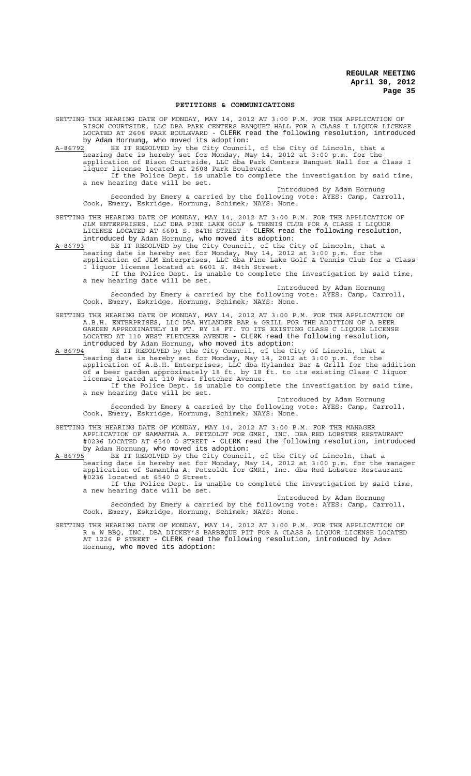#### **PETITIONS & COMMUNICATIONS**

SETTING THE HEARING DATE OF MONDAY, MAY 14, 2012 AT 3:00 P.M. FOR THE APPLICATION OF BISON COURTSIDE, LLC DBA PARK CENTERS BANQUET HALL FOR A CLASS I LIQUOR LICENSE LOCATED AT 2608 PARK BOULEVARD - CLERK read the following resolution, introduced by Adam Hornung, who moved its adoption:

A-86792 BE IT RESOLVED by the City Council, of the City of Lincoln, that a hearing date is hereby set for Monday, May 14, 2012 at 3:00 p.m. for the application of Bison Courtside, LLC dba Park Centers Banquet Hall for a Class I liquor license located at 2608 Park Boulevard.

If the Police Dept. is unable to complete the investigation by said time, a new hearing date will be set. Introduced by Adam Hornung

Seconded by Emery & carried by the following vote: AYES: Camp, Carroll, Cook, Emery, Eskridge, Hornung, Schimek; NAYS: None.

SETTING THE HEARING DATE OF MONDAY, MAY 14, 2012 AT 3:00 P.M. FOR THE APPLICATION OF JLM ENTERPRISES, LLC DBA PINE LAKE GOLF & TENNIS CLUB FOR A CLASS I LIQUOR LICENSE LOCATED AT 6601 S. 84TH STREET - CLERK read the following resolution, introduced by Adam Hornung, who moved its adoption:

A-86793 BE IT RESOLVED by the City Council, of the City of Lincoln, that a hearing date is hereby set for Monday, May 14, 2012 at 3:00 p.m. for the application of JLM Enterprises, LLC dba Pine Lake Golf & Tennis Club for a Class I liquor license located at 6601 S. 84th Street.

If the Police Dept. is unable to complete the investigation by said time, a new hearing date will be set. Introduced by Adam Hornung

Seconded by Emery & carried by the following vote: AYES: Camp, Carroll, Cook, Emery, Eskridge, Hornung, Schimek; NAYS: None.

SETTING THE HEARING DATE OF MONDAY, MAY 14, 2012 AT 3:00 P.M. FOR THE APPLICATION OF A.B.H. ENTERPRISES, LLC DBA HYLANDER BAR & GRILL FOR THE ADDITION OF A BEER GARDEN APPROXIMATELY 18 FT. BY 18 FT. TO ITS EXISTING CLASS C LIQUOR LICENSE LOCATED AT 110 WEST FLETCHER AVENUE - CLERK read the following resolution, introduced by Adam Hornung, who moved its adoption:<br>A-86794 BE IT RESOLVED by the City Council, of the Ci

A-86794 BE IT RESOLVED by the City Council, of the City of Lincoln, that a hearing date is hereby set for Monday, May 14, 2012 at 3:00 p.m. for the application of A.B.H. Enterprises, LLC dba Hylander Bar & Grill for the addition of a beer garden approximately 18 ft. by 18 ft. to its existing Class C liquor license located at 110 West Fletcher Avenue.

If the Police Dept. is unable to complete the investigation by said time, a new hearing date will be set. Introduced by Adam Hornung

Seconded by Emery & carried by the following vote: AYES: Camp, Carroll, Cook, Emery, Eskridge, Hornung, Schimek; NAYS: None.

SETTING THE HEARING DATE OF MONDAY, MAY 14, 2012 AT 3:00 P.M. FOR THE MANAGER APPLICATION OF SAMANTHA A. PETZOLDT FOR GMRI, INC. DBA RED LOBSTER RESTAURANT #0236 LOCATED AT 6540 O STREET - CLERK read the following resolution, introduced by Adam Hornung, who moved its adoption:<br>A-86795 BE IT RESOLVED by the City Council

A-86795 BE IT RESOLVED by the City Council, of the City of Lincoln, that a hearing date is hereby set for Monday, May 14, 2012 at 3:00 p.m. for the manager application of Samantha A. Petzoldt for GMRI, Inc. dba Red Lobster Restaurant #0236 located at 6540 O Street.

If the Police Dept. is unable to complete the investigation by said time, a new hearing date will be set.

Introduced by Adam Hornung Seconded by Emery & carried by the following vote: AYES: Camp, Carroll, Cook, Emery, Eskridge, Hornung, Schimek; NAYS: None.

SETTING THE HEARING DATE OF MONDAY, MAY 14, 2012 AT 3:00 P.M. FOR THE APPLICATION OF R & W BBQ, INC. DBA DICKEY'S BARBEQUE PIT FOR A CLASS A LIQUOR LICENSE LOCATED AT 1226 P STREET - CLERK read the following resolution, introduced by Adam Hornung, who moved its adoption: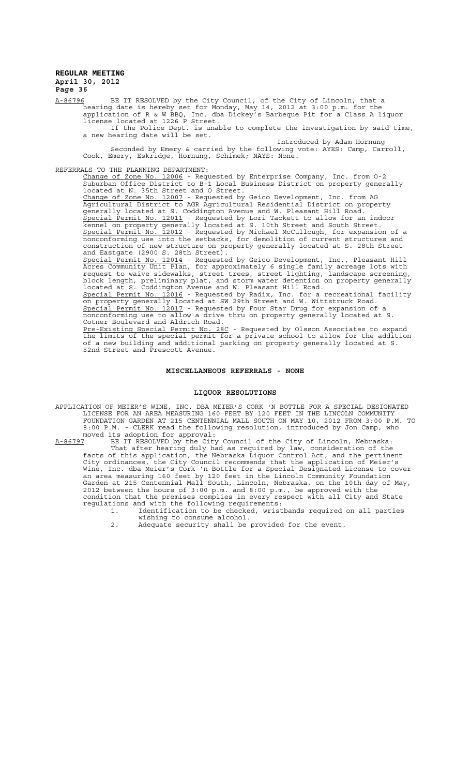### **REGULAR MEETING April 30, 2012**

**Page 36**

A-86796 BE IT RESOLVED by the City Council, of the City of Lincoln, that a hearing date is hereby set for Monday, May 14, 2012 at 3:00 p.m. for the application of R & W BBQ, Inc. dba Dickey's Barbeque Pit for a Class A liquor license located at 1226 P Street.

If the Police Dept. is unable to complete the investigation by said time, a new hearing date will be set.

Introduced by Adam Hornung Seconded by Emery & carried by the following vote: AYES: Camp, Carroll, Cook, Emery, Eskridge, Hornung, Schimek; NAYS: None.

REFERRALS TO THE PLANNING DEPARTMENT:

Change of Zone No. 12006 - Requested by Enterprise Company, Inc. from 0-2 Suburban Office District to B-1 Local Business District on property generally located at N. 35th Street and O Street. Change of Zone No. 12007 - Requested by Geico Development, Inc. from AG Agricultural District to AGR Agricultural Residential District on property generally located at S. Coddington Avenue and W. Pleasant Hill Road. Special Permit No. 12011 - Requested by Lori Tackett to allow for an indoor kennel on property generally located at S. 10th Street and South Street. Special Permit No. 12012 - Requested by Michael McCullough, for expansion of a

nonconforming use into the setbacks, for demolition of current structures and construction of new structure on property generally located at S. 28th Street and Eastgate (2900 S. 28th Street). Special Permit No. 12014 - Requested by Geico Development, Inc., Pleasant Hill

Acres Community Unit Plan, for approximately 6 single family acreage lots with request to waive sidewalks, street trees, street lighting, landscape screening, block length, preliminary plat, and storm water detention on property generally located at S. Coddington Avenue and W. Pleasant Hill Road. Special Permit No. 12016 - Requested by Radix, Inc. for a recreational facility on property generally located at SW 29th Street and W. Wittstruck Road. Special Permit No. 12017 - Requested by Four Star Drug for expansion of a nonconforming use to allow a drive thru on property generally located at S. Cotner Boulevard and Aldrich Road. Pre-Existing Special Permit No. 28C - Requested by Olsson Associates to expand the limits of the special permit for a private school to allow for the addition

of a new building and additional parking on property generally located at S. 52nd Street and Prescott Avenue.

#### **MISCELLANEOUS REFERRALS - NONE**

#### **LIQUOR RESOLUTIONS**

APPLICATION OF MEIER'S WINE, INC. DBA MEIER'S CORK 'N BOTTLE FOR A SPECIAL DESIGNATED LICENSE FOR AN AREA MEASURING 160 FEET BY 120 FEET IN THE LINCOLN COMMUNITY FOUNDATION GARDEN AT 215 CENTENNIAL MALL SOUTH ON MAY 10, 2012 FROM 3:00 P.M. TO 8:00 P.M. - CLERK read the following resolution, introduced by Jon Camp, who moved its adoption for approval:<br>A-86797 BE IT RESOLVED by the City

A-86797 BE IT RESOLVED by the City Council of the City of Lincoln, Nebraska: That after hearing duly had as required by law, consideration of the facts of this application, the Nebraska Liquor Control Act, and the pertinent City ordinances, the City Council recommends that the application of Meier's Wine, Inc. dba Meier's Cork 'n Bottle for a Special Designated License to cover an area measuring 160 feet by 120 feet in the Lincoln Community Foundation Garden at 215 Centennial Mall South, Lincoln, Nebraska, on the 10th day of May, 2012 between the hours of 3:00 p.m. and 8:00 p.m., be approved with the condition that the premises complies in every respect with all City and State regulations and with the following requirements:

1. Identification to be checked, wristbands required on all parties wishing to consume alcohol.

2. Adequate security shall be provided for the event.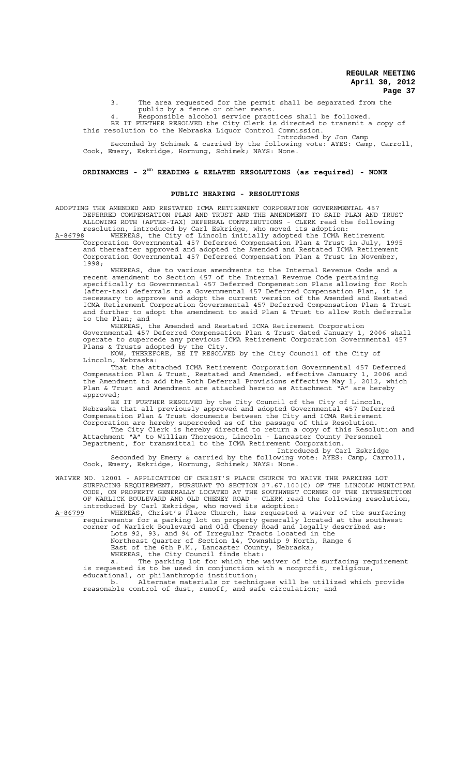3. The area requested for the permit shall be separated from the public by a fence or other means.

4. Responsible alcohol service practices shall be followed.

BE IT FURTHER RESOLVED the City Clerk is directed to transmit a copy of this resolution to the Nebraska Liquor Control Commission.

Introduced by Jon Camp Seconded by Schimek & carried by the following vote: AYES: Camp, Carroll,

Cook, Emery, Eskridge, Hornung, Schimek; NAYS: None.

### **ORDINANCES - 2ND READING & RELATED RESOLUTIONS (as required) - NONE**

#### **PUBLIC HEARING - RESOLUTIONS**

ADOPTING THE AMENDED AND RESTATED ICMA RETIREMENT CORPORATION GOVERNMENTAL 457 DEFERRED COMPENSATION PLAN AND TRUST AND THE AMENDMENT TO SAID PLAN AND TRUST ALLOWING ROTH (AFTER-TAX) DEFERRAL CONTRIBUTIONS - CLERK read the following resolution, introduced by Carl Eskridge, who moved its adoption:

A-86798 MHEREAS, the City of Lincoln initially adopted the ICMA Retirement Corporation Governmental 457 Deferred Compensation Plan & Trust in July, 1995 and thereafter approved and adopted the Amended and Restated ICMA Retirement Corporation Governmental 457 Deferred Compensation Plan & Trust in November, 1998;

WHEREAS, due to various amendments to the Internal Revenue Code and a recent amendment to Section 457 of the Internal Revenue Code pertaining specifically to Governmental 457 Deferred Compensation Plans allowing for Roth (after-tax) deferrals to a Governmental 457 Deferred Compensation Plan, it is necessary to approve and adopt the current version of the Amended and Restated ICMA Retirement Corporation Governmental 457 Deferred Compensation Plan & Trust and further to adopt the amendment to said Plan & Trust to allow Roth deferrals to the Plan; and

WHEREAS, the Amended and Restated ICMA Retirement Corporation Governmental 457 Deferred Compensation Plan & Trust dated January 1, 2006 shall operate to supercede any previous ICMA Retirement Corporation Governmental 457 Plans & Trusts adopted by the City.

NOW, THEREFORE, BE IT RESOLVED by the City Council of the City of Lincoln, Nebraska:

That the attached ICMA Retirement Corporation Governmental 457 Deferred Compensation Plan & Trust, Restated and Amended, effective January 1, 2006 and the Amendment to add the Roth Deferral Provisions effective May 1, 2012, which Plan & Trust and Amendment are attached hereto as Attachment "A" are hereby approved;

BE IT FURTHER RESOLVED by the City Council of the City of Lincoln, Nebraska that all previously approved and adopted Governmental 457 Deferred Compensation Plan & Trust documents between the City and ICMA Retirement Corporation are hereby superceded as of the passage of this Resolution.

The City Clerk is hereby directed to return a copy of this Resolution and Attachment "A" to William Thoreson, Lincoln - Lancaster County Personnel Department, for transmittal to the ICMA Retirement Corporation.

Introduced by Carl Eskridge Seconded by Emery & carried by the following vote: AYES: Camp, Carroll, Cook, Emery, Eskridge, Hornung, Schimek; NAYS: None.

WAIVER NO. 12001 - APPLICATION OF CHRIST'S PLACE CHURCH TO WAIVE THE PARKING LOT SURFACING REQUIREMENT, PURSUANT TO SECTION 27.67.100(C) OF THE LINCOLN MUNICIPAL CODE, ON PROPERTY GENERALLY LOCATED AT THE SOUTHWEST CORNER OF THE INTERSECTION OF WARLICK BOULEVARD AND OLD CHENEY ROAD - CLERK read the following resolution, introduced by Carl Eskridge, who moved its adoption:

A-86799 MHEREAS, Christ's Place Church, has requested a waiver of the surfacing requirements for a parking lot on property generally located at the southwest corner of Warlick Boulevard and Old Cheney Road and legally described as:

Lots 92, 93, and 94 of Irregular Tracts located in the Northeast Quarter of Section 14, Township 9 North, Range 6

East of the 6th P.M., Lancaster County, Nebraska;

WHEREAS, the City Council finds that:

a. The parking lot for which the waiver of the surfacing requirement is requested is to be used in conjunction with a nonprofit, religious, educational, or philanthropic institution;

b. Alternate materials or techniques will be utilized which provide reasonable control of dust, runoff, and safe circulation; and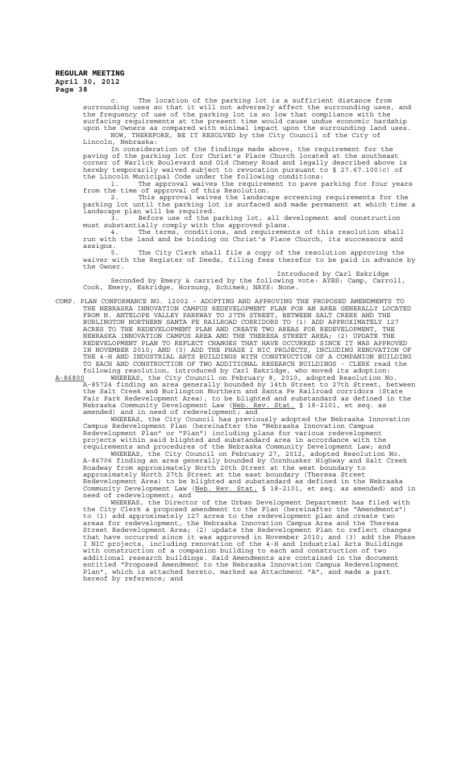The location of the parking lot is a sufficient distance from surrounding uses so that it will not adversely affect the surrounding uses, and the frequency of use of the parking lot is so low that compliance with the surfacing requirements at the present time would cause undue economic hardship upon the Owners as compared with minimal impact upon the surrounding land uses. NOW, THEREFORE, BE IT RESOLVED by the City Council of the City of

Lincoln, Nebraska: In consideration of the findings made above, the requirement for the paving of the parking lot for Christ's Place Church located at the southeast corner of Warlick Boulevard and Old Cheney Road and legally described above is hereby temporarily waived subject to revocation pursuant to § 27.67.100(c) of the Lincoln Municipal Code under the following conditions:

1. The approval waives the requirement to pave parking for four years from the time of approval of this Resolution.

2. This approval waives the landscape screening requirements for the parking lot until the parking lot is surfaced and made permanent at which time a landscape plan will be required.

3. Before use of the parking lot, all development and construction must substantially comply with the approved plans.

4. The terms, conditions, and requirements of this resolution shall run with the land and be binding on Christ's Place Church, its successors and run with the land and be binding on Christ's Place Church, its successors and assigns.

5. The City Clerk shall file a copy of the resolution approving the waiver with the Register of Deeds, filing fees therefor to be paid in advance by the Owner.

Introduced by Carl Eskridge Seconded by Emery & carried by the following vote: AYES: Camp, Carroll, Cook, Emery, Eskridge, Hornung, Schimek; NAYS: None.

COMP. PLAN CONFORMANCE NO. 12002 - ADOPTING AND APPROVING THE PROPOSED AMENDMENTS TO THE NEBRASKA INNOVATION CAMPUS REDEVELOPMENT PLAN FOR AN AREA GENERALLY LOCATED FROM N. ANTELOPE VALLEY PARKWAY TO 27TH STREET, BETWEEN SALT CREEK AND THE BURLINGTON NORTHERN SANTA FE RAILROAD CORRIDORS TO (1) ADD APPROXIMATELY 127 ACRES TO THE REDEVELOPMENT PLAN AND CREATE TWO AREAS FOR REDEVELOPMENT, THE NEBRASKA INNOVATION CAMPUS AREA AND THE THERESA STREET AREA; (2) UPDATE THE REDEVELOPMENT PLAN TO REFLECT CHANGES THAT HAVE OCCURRED SINCE IT WAS APPROVED IN NOVEMBER 2010; AND (3) ADD THE PHASE I NIC PROJECTS, INCLUDING RENOVATION OF THE 4-H AND INDUSTRIAL ARTS BUILDINGS WITH CONSTRUCTION OF A COMPANION BUILDING TO EACH AND CONSTRUCTION OF TWO ADDITIONAL RESEARCH BUILDINGS - CLERK read the following resolution, introduced by Carl Eskridge, who moved its adoption:

A-86800 WHEREAS, the City Council on February 8, 2010, adopted Resolution No. A-85724 finding an area generally bounded by 14th Street to 27th Street, between the Salt Creek and Burlington Northern and Santa Fe Railroad corridors (State Fair Park Redevelopment Area), to be blighted and substandard as defined in the Nebraska Community Development Law (<u>Neb. Rev. Stat.</u> § 18-2101, et seq. as amended) and in need of redevelopment; and

WHEREAS, the City Council has previously adopted the Nebraska Innovation Campus Redevelopment Plan (hereinafter the "Nebraska Innovation Campus Redevelopment Plan" or "Plan") including plans for various redevelopment projects within said blighted and substandard area in accordance with the requirements and procedures of the Nebraska Community Development Law; and

WHEREAS, the City Council on February 27, 2012, adopted Resolution No. A-86706 finding an area generally bounded by Cornhusker Highway and Salt Creek Roadway from approximately North 20th Street at the west boundary to approximately North 27th Street at the east boundary (Theresa Street Redevelopment Area) to be blighted and substandard as defined in the Nebraska Community Development Law (Neb. Rev. Stat. § 18-2101, et seq. as amended) and in need of redevelopment; and

WHEREAS, the Director of the Urban Development Department has filed with the City Clerk a proposed amendment to the Plan (hereinafter the "Amendments") to (1) add approximately 127 acres to the redevelopment plan and create two areas for redevelopment, the Nebraska Innovation Campus Area and the Theresa Street Redevelopment Area; (2) update the Redevelopment Plan to reflect changes that have occurred since it was approved in November 2010; and (3) add the Phase I NIC projects, including renovation of the 4-H and Industrial Arts Buildings with construction of a companion building to each and construction of two additional research buildings. Said Amendments are contained in the document entitled "Proposed Amendment to the Nebraska Innovation Campus Redevelopment Plan", which is attached hereto, marked as Attachment "A", and made a part hereof by reference; and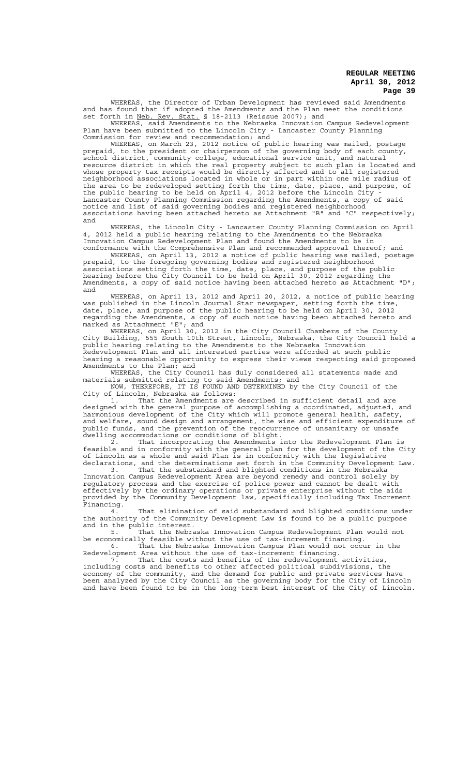WHEREAS, the Director of Urban Development has reviewed said Amendments and has found that if adopted the Amendments and the Plan meet the conditions set forth in Neb. Rev. Stat. § 18-2113 (Reissue 2007); and

WHEREAS, said Amendments to the Nebraska Innovation Campus Redevelopment Plan have been submitted to the Lincoln City - Lancaster County Planning Commission for review and recommendation; and

WHEREAS, on March 23, 2012 notice of public hearing was mailed, postage prepaid, to the president or chairperson of the governing body of each county, school district, community college, educational service unit, and natural resource district in which the real property subject to such plan is located and whose property tax receipts would be directly affected and to all registered neighborhood associations located in whole or in part within one mile radius of the area to be redeveloped setting forth the time, date, place, and purpose, of the public hearing to be held on April 4, 2012 before the Lincoln City - Lancaster County Planning Commission regarding the Amendments, a copy of said notice and list of said governing bodies and registered neighborhood associations having been attached hereto as Attachment "B" and "C" respectively; and

WHEREAS, the Lincoln City - Lancaster County Planning Commission on April 4, 2012 held a public hearing relating to the Amendments to the Nebraska Innovation Campus Redevelopment Plan and found the Amendments to be in conformance with the Comprehensive Plan and recommended approval thereof; and

WHEREAS, on April 13, 2012 a notice of public hearing was mailed, postage prepaid, to the foregoing governing bodies and registered neighborhood associations setting forth the time, date, place, and purpose of the public hearing before the City Council to be held on April 30, 2012 regarding the Amendments, a copy of said notice having been attached hereto as Attachment "D"; and

WHEREAS, on April 13, 2012 and April 20, 2012, a notice of public hearing was published in the Lincoln Journal Star newspaper, setting forth the time, date, place, and purpose of the public hearing to be held on April 30, 2012 regarding the Amendments, a copy of such notice having been attached hereto and marked as Attachment "E"; and

WHEREAS, on April 30, 2012 in the City Council Chambers of the County City Building, 555 South 10th Street, Lincoln, Nebraska, the City Council held a public hearing relating to the Amendments to the Nebraska Innovation Redevelopment Plan and all interested parties were afforded at such public hearing a reasonable opportunity to express their views respecting said proposed Amendments to the Plan; and

WHEREAS, the City Council has duly considered all statements made and materials submitted relating to said Amendments; and

NOW, THEREFORE, IT IS FOUND AND DETERMINED by the City Council of the City of Lincoln, Nebraska as follows:

1. That the Amendments are described in sufficient detail and are designed with the general purpose of accomplishing a coordinated, adjusted, and harmonious development of the City which will promote general health, safety, and welfare, sound design and arrangement, the wise and efficient expenditure of public funds, and the prevention of the reoccurrence of unsanitary or unsafe dwelling accommodations or conditions of blight.

2. That incorporating the Amendments into the Redevelopment Plan is feasible and in conformity with the general plan for the development of the City of Lincoln as a whole and said Plan is in conformity with the legislative declarations, and the determinations set forth in the Community Development Law.

3. That the substandard and blighted conditions in the Nebraska Innovation Campus Redevelopment Area are beyond remedy and control solely by regulatory process and the exercise of police power and cannot be dealt with effectively by the ordinary operations or private enterprise without the aids provided by the Community Development law, specifically including Tax Increment Financing.

4. That elimination of said substandard and blighted conditions under the authority of the Community Development Law is found to be a public purpose and in the public interest.

5. That the Nebraska Innovation Campus Redevelopment Plan would not be economically feasible without the use of tax-increment financing. 6. That the Nebraska Innovation Campus Plan would not occur in the

Redevelopment Area without the use of tax-increment financing. 7. That the costs and benefits of the redevelopment activities,

including costs and benefits to other affected political subdivisions, the economy of the community, and the demand for public and private services have been analyzed by the City Council as the governing body for the City of Lincoln and have been found to be in the long-term best interest of the City of Lincoln.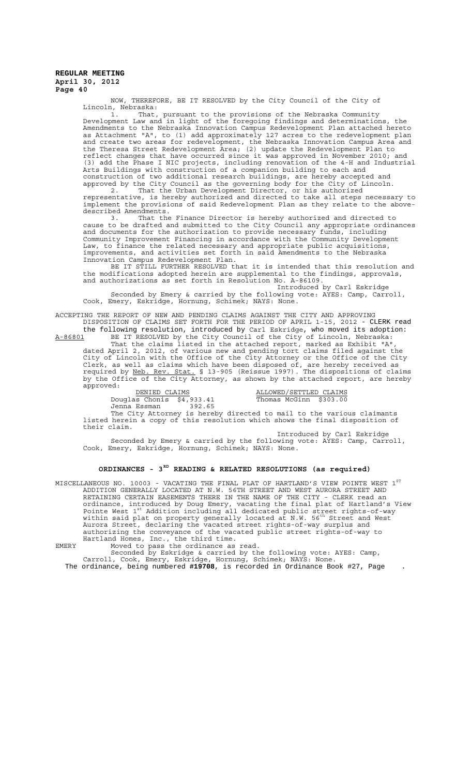NOW, THEREFORE, BE IT RESOLVED by the City Council of the City of Lincoln, Nebraska:

1. That, pursuant to the provisions of the Nebraska Community Development Law and in light of the foregoing findings and determinations, the Amendments to the Nebraska Innovation Campus Redevelopment Plan attached hereto as Attachment "A", to (1) add approximately 127 acres to the redevelopment plan and create two areas for redevelopment, the Nebraska Innovation Campus Area and the Theresa Street Redevelopment Area; (2) update the Redevelopment Plan to reflect changes that have occurred since it was approved in November 2010; and (3) add the Phase I NIC projects, including renovation of the 4-H and Industrial Arts Buildings with construction of a companion building to each and construction of two additional research buildings, are hereby accepted and approved by the City Council as the governing body for the City of Lincoln.

2. That the Urban Development Director, or his authorized representative, is hereby authorized and directed to take all steps necessary to implement the provisions of said Redevelopment Plan as they relate to the abovedescribed Amendments.

3. That the Finance Director is hereby authorized and directed to cause to be drafted and submitted to the City Council any appropriate ordinances and documents for the authorization to provide necessary funds, including Community Improvement Financing in accordance with the Community Development Law, to finance the related necessary and appropriate public acquisitions, improvements, and activities set forth in said Amendments to the Nebraska Innovation Campus Redevelopment Plan.

BE IT STILL FURTHER RESOLVED that it is intended that this resolution and the modifications adopted herein are supplemental to the findings, approvals, and authorizations as set forth in Resolution No. A-86109.

Introduced by Carl Eskridge Seconded by Emery & carried by the following vote: AYES: Camp, Carroll, Cook, Emery, Eskridge, Hornung, Schimek; NAYS: None.

ACCEPTING THE REPORT OF NEW AND PENDING CLAIMS AGAINST THE CITY AND APPROVING DISPOSITION OF CLAIMS SET FORTH FOR THE PERIOD OF APRIL 1-15, 2012 - CLERK read

the following resolution, introduced by Carl Eskridge, who moved its adoption: A-86801 BE IT RESOLVED by the City Council of the City of Lincoln, Nebraska: That the claims listed in the attached report, marked as Exhibit "A", dated April 2, 2012, of various new and pending tort claims filed against the City of Lincoln with the Office of the City Attorney or the Office of the City Clerk, as well as claims which have been disposed of, are hereby received as required by Neb. Rev. Stat. § 13-905 (Reissue 1997). The dispositions of claims by the Office of the City Attorney, as shown by the attached report, are hereby approved:

DENIED CLAIMS **ALLOWED**/SETTLED CLAIMS

Jenna Essman 392.65

Douglas Chonis \$4,933.41 Thomas McGinn \$303.00

The City Attorney is hereby directed to mail to the various claimants listed herein a copy of this resolution which shows the final disposition of their claim.

Introduced by Carl Eskridge Seconded by Emery & carried by the following vote: AYES: Camp, Carroll, Cook, Emery, Eskridge, Hornung, Schimek; NAYS: None.

## **ORDINANCES - 3RD READING & RELATED RESOLUTIONS (as required)**

MISCELLANEOUS NO. 10003 - VACATING THE FINAL PLAT OF HARTLAND'S VIEW POINTE WEST  $1^{\mathrm{ST}}$ ADDITION GENERALLY LOCATED AT N.W. 56TH STREET AND WEST AURORA STREET AND RETAINING CERTAIN EASEMENTS THERE IN THE NAME OF THE CITY - CLERK read an ordinance, introduced by Doug Emery, vacating the final plat of Hartland's View<br>Pointe West 1<sup>st</sup> Addition including all dedicated public street rights-of-way within said plat on property generally located at N.W. 56<sup>th</sup> Street and West Aurora Street, declaring the vacated street rights-of-way surplus and authorizing the conveyance of the vacated public street rights-of-way to Hartland Homes, Inc., the third time.

EMERY Moved to pass the ordinance as read.

Seconded by Eskridge & carried by the following vote: AYES: Camp, Carroll, Cook, Emery, Eskridge, Hornung, Schimek; NAYS: None. The ordinance, being numbered **#19708**, is recorded in Ordinance Book #27, Page .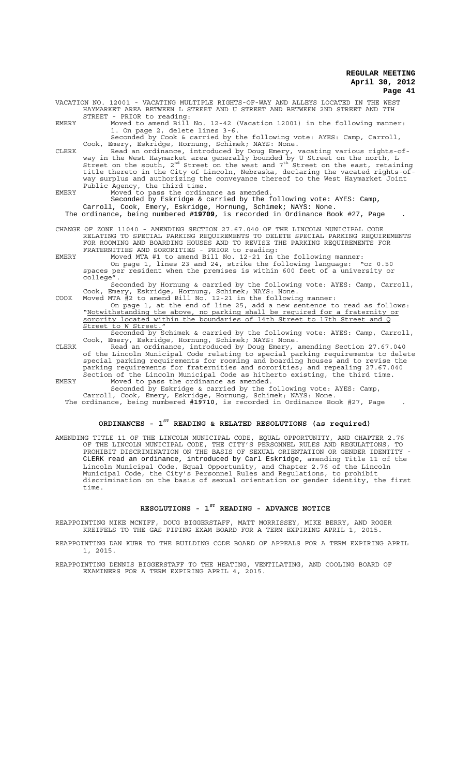VACATION NO. 12001 - VACATING MULTIPLE RIGHTS-OF-WAY AND ALLEYS LOCATED IN THE WEST HAYMARKET AREA BETWEEN L STREET AND U STREET AND BETWEEN 2ND STREET AND 7TH STREET - PRIOR to reading:

EMERY Moved to amend Bill No. 12-42 (Vacation 12001) in the following manner: 1. On page 2, delete lines 3-6.

Seconded by Cook & carried by the following vote: AYES: Camp, Carroll, Cook, Emery, Eskridge, Hornung, Schimek; NAYS: None.

CLERK Read an ordinance, introduced by Doug Emery, vacating various rights-ofway in the West Haymarket area generally bounded by U Street on the north, L<br>Street on the south, 2<sup>nd</sup> Street on the west and 7<sup>th</sup> Street on the east, retaining title thereto in the City of Lincoln, Nebraska, declaring the vacated rights-ofway surplus and authorizing the conveyance thereof to the West Haymarket Joint Public Agency, the third time.

EMERY Moved to pass the ordinance as amended. Seconded by Eskridge & carried by the following vote: AYES: Camp,

Carroll, Cook, Emery, Eskridge, Hornung, Schimek; NAYS: None. The ordinance, being numbered **#19709**, is recorded in Ordinance Book #27, Page .

CHANGE OF ZONE 11040 - AMENDING SECTION 27.67.040 OF THE LINCOLN MUNICIPAL CODE

RELATING TO SPECIAL PARKING REQUIREMENTS TO DELETE SPECIAL PARKING REQUIREMENTS FOR ROOMING AND BOARDING HOUSES AND TO REVISE THE PARKING REQUIREMENTS FOR FRATERNITIES AND SORORITIES - PRIOR to reading:

EMERY Moved MTA #1 to amend Bill No. 12-21 in the following manner: On page 1, lines 23 and 24, strike the following language: "or 0.50 spaces per resident when the premises is within 600 feet of a university or college".

Seconded by Hornung & carried by the following vote: AYES: Camp, Carroll, Cook, Emery, Eskridge, Hornung, Schimek; NAYS: None.

COOK Moved MTA #2 to amend Bill No. 12-21 in the following manner: On page 1, at the end of line 25, add a new sentence to read as follows: "Notwithstanding the above, no parking shall be required for a fraternity or sorority located within the boundaries of 14th Street to 17th Street and Q Street to W Street.

Seconded by Schimek & carried by the following vote: AYES: Camp, Carroll, Cook, Emery, Eskridge, Hornung, Schimek; NAYS: None.

CLERK Read an ordinance, introduced by Doug Emery, amending Section 27.67.040 of the Lincoln Municipal Code relating to special parking requirements to delete special parking requirements for rooming and boarding houses and to revise the parking requirements for fraternities and sororities; and repealing 27.67.040 Section of the Lincoln Municipal Code as hitherto existing, the third time. EMERY Moved to pass the ordinance as amended.

Seconded by Eskridge & carried by the following vote: AYES: Camp,

Carroll, Cook, Emery, Eskridge, Hornung, Schimek; NAYS: None. The ordinance, being numbered **#19710**, is recorded in Ordinance Book #27, Page .

## **ORDINANCES - 1ST READING & RELATED RESOLUTIONS (as required)**

AMENDING TITLE 11 OF THE LINCOLN MUNICIPAL CODE, EQUAL OPPORTUNITY, AND CHAPTER 2.76 OF THE LINCOLN MUNICIPAL CODE, THE CITY'S PERSONNEL RULES AND REGULATIONS, TO PROHIBIT DISCRIMINATION ON THE BASIS OF SEXUAL ORIENTATION OR GENDER IDENTITY - CLERK read an ordinance, introduced by Carl Eskridge, amending Title 11 of the Lincoln Municipal Code, Equal Opportunity, and Chapter 2.76 of the Lincoln Municipal Code, the City's Personnel Rules and Regulations, to prohibit discrimination on the basis of sexual orientation or gender identity, the first time.

## **RESOLUTIONS - 1ST READING - ADVANCE NOTICE**

REAPPOINTING MIKE MCNIFF, DOUG BIGGERSTAFF, MATT MORRISSEY, MIKE BERRY, AND ROGER KREIFELS TO THE GAS PIPING EXAM BOARD FOR A TERM EXPIRING APRIL 1, 2015.

REAPPOINTING DAN KUBR TO THE BUILDING CODE BOARD OF APPEALS FOR A TERM EXPIRING APRIL 1, 2015.

REAPPOINTING DENNIS BIGGERSTAFF TO THE HEATING, VENTILATING, AND COOLING BOARD OF EXAMINERS FOR A TERM EXPIRING APRIL 4, 2015.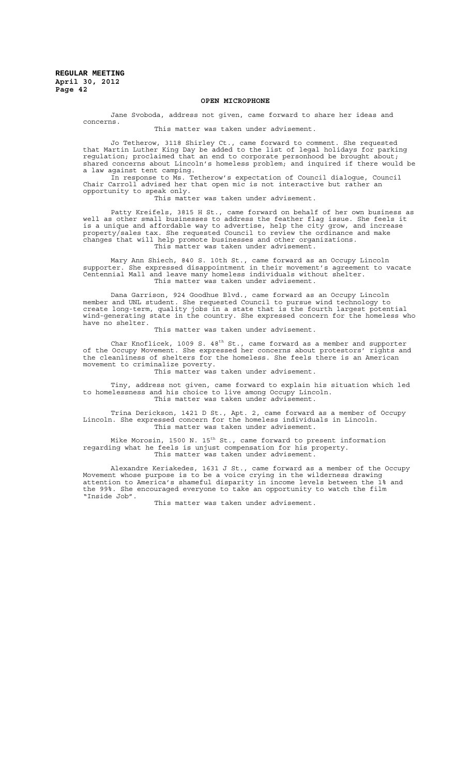#### **OPEN MICROPHONE**

Jane Svoboda, address not given, came forward to share her ideas and concerns.

This matter was taken under advisement.

Jo Tetherow, 3118 Shirley Ct., came forward to comment. She requested that Martin Luther King Day be added to the list of legal holidays for parking regulation; proclaimed that an end to corporate personhood be brought about; shared concerns about Lincoln's homeless problem; and inquired if there would be a law against tent camping.

In response to Ms. Tetherow's expectation of Council dialogue, Council Chair Carroll advised her that open mic is not interactive but rather an opportunity to speak only.

This matter was taken under advisement.

Patty Kreifels, 3815 H St., came forward on behalf of her own business as well as other small businesses to address the feather flag issue. She feels it is a unique and affordable way to advertise, help the city grow, and increase property $\bar{/}$ sales tax. She requested Council to review the ordinance and make changes that will help promote businesses and other organizations. This matter was taken under advisement.

Mary Ann Shiech, 840 S. 10th St., came forward as an Occupy Lincoln supporter. She expressed disappointment in their movement's agreement to vacate Centennial Mall and leave many homeless individuals without shelter. This matter was taken under advisement.

Dana Garrison, 924 Goodhue Blvd., came forward as an Occupy Lincoln member and UNL student. She requested Council to pursue wind technology to create long-term, quality jobs in a state that is the fourth largest potential wind-generating state in the country. She expressed concern for the homeless who have no shelter.

This matter was taken under advisement.

Char Knoflicek, 1009 S.  $48^{\text{th}}$  St., came forward as a member and supporter of the Occupy Movement. She expressed her concerns about protestors' rights and the cleanliness of shelters for the homeless. She feels there is an American movement to criminalize poverty.

This matter was taken under advisement.

Tiny, address not given, came forward to explain his situation which led to homelessness and his choice to live among Occupy Lincoln. This matter was taken under advisement.

Trina Derickson, 1421 D St., Apt. 2, came forward as a member of Occupy Lincoln. She expressed concern for the homeless individuals in Lincoln. This matter was taken under advisement.

Mike Morosin, 1500 N. 15 $^{\rm th}$  St., came forward to present information regarding what he feels is unjust compensation for his property. This matter was taken under advisement

Alexandre Keriakedes, 1631 J St., came forward as a member of the Occupy Movement whose purpose is to be a voice crying in the wilderness drawing attention to America's shameful disparity in income levels between the 1% and the 99%. She encouraged everyone to take an opportunity to watch the film "Inside Job".

This matter was taken under advisement.